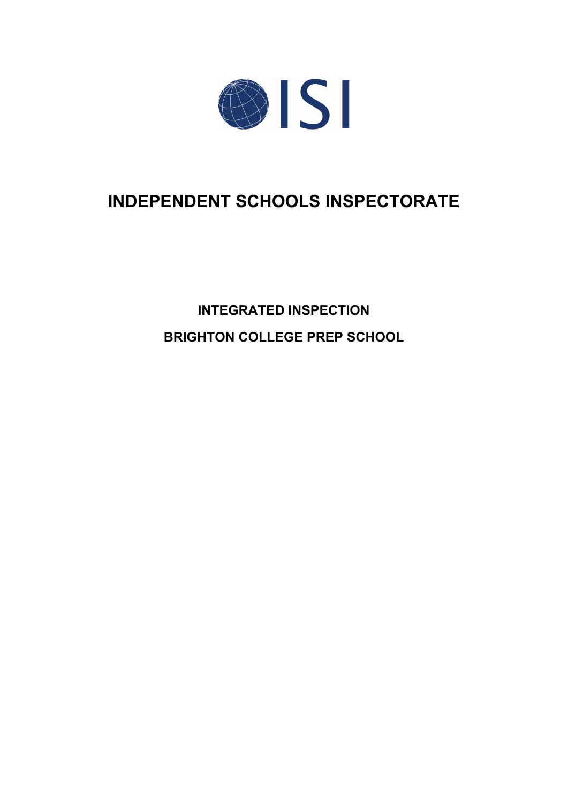

# **INDEPENDENT SCHOOLS INSPECTORATE**

**INTEGRATED INSPECTION BRIGHTON COLLEGE PREP SCHOOL**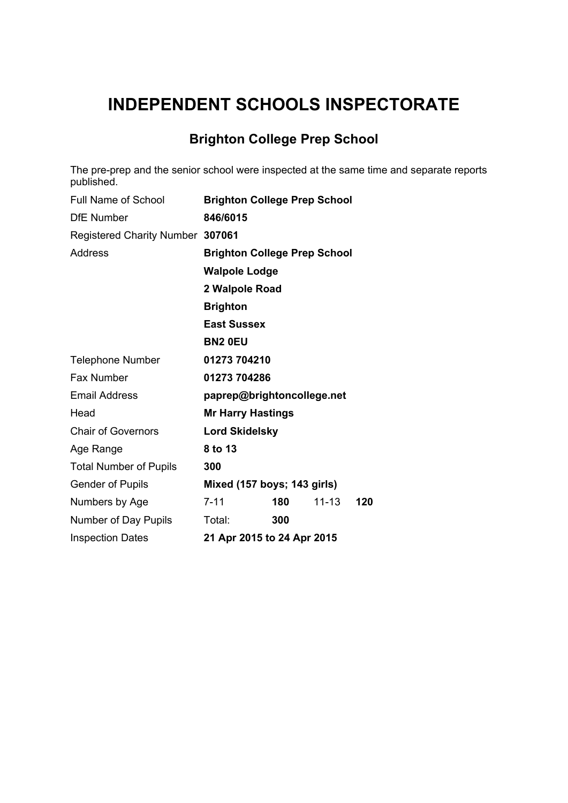# **INDEPENDENT SCHOOLS INSPECTORATE**

## **Brighton College Prep School**

The pre-prep and the senior school were inspected at the same time and separate reports published.

| Full Name of School              | <b>Brighton College Prep School</b> |
|----------------------------------|-------------------------------------|
| <b>DfE</b> Number                | 846/6015                            |
| Registered Charity Number 307061 |                                     |
| <b>Address</b>                   | <b>Brighton College Prep School</b> |
|                                  | <b>Walpole Lodge</b>                |
|                                  | 2 Walpole Road                      |
|                                  | <b>Brighton</b>                     |
|                                  | <b>East Sussex</b>                  |
|                                  | <b>BN2 OEU</b>                      |
| <b>Telephone Number</b>          | 01273 704210                        |
| Fax Number                       | 01273 704286                        |
| <b>Email Address</b>             | paprep@brightoncollege.net          |
| Head                             | <b>Mr Harry Hastings</b>            |
| <b>Chair of Governors</b>        | <b>Lord Skidelsky</b>               |
| Age Range                        | 8 to 13                             |
| <b>Total Number of Pupils</b>    | 300                                 |
| <b>Gender of Pupils</b>          | Mixed (157 boys; 143 girls)         |
| Numbers by Age                   | $7 - 11$<br>180<br>$11 - 13$<br>120 |
| Number of Day Pupils             | Total:<br>300                       |
| <b>Inspection Dates</b>          | 21 Apr 2015 to 24 Apr 2015          |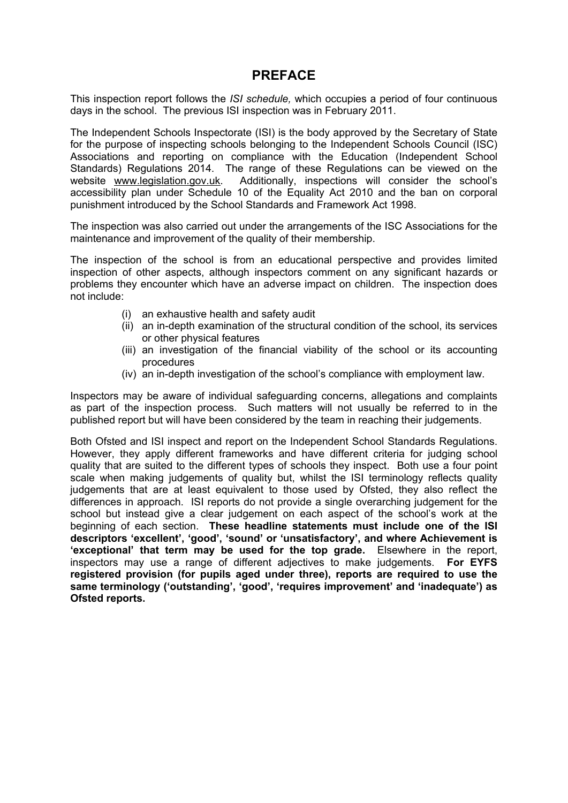### **PREFACE**

This inspection report follows the *ISI schedule,* which occupies a period of four continuous days in the school. The previous ISI inspection was in February 2011.

The Independent Schools Inspectorate (ISI) is the body approved by the Secretary of State for the purpose of inspecting schools belonging to the Independent Schools Council (ISC) Associations and reporting on compliance with the Education (Independent School Standards) Regulations 2014. The range of these Regulations can be viewed on the website [www.legislation.gov.uk.](http://www.legislation.gov.uk) Additionally, inspections will consider the school's accessibility plan under Schedule 10 of the Equality Act 2010 and the ban on corporal punishment introduced by the School Standards and Framework Act 1998.

The inspection was also carried out under the arrangements of the ISC Associations for the maintenance and improvement of the quality of their membership.

The inspection of the school is from an educational perspective and provides limited inspection of other aspects, although inspectors comment on any significant hazards or problems they encounter which have an adverse impact on children. The inspection does not include:

- (i) an exhaustive health and safety audit
- (ii) an in-depth examination of the structural condition of the school, its services or other physical features
- (iii) an investigation of the financial viability of the school or its accounting procedures
- (iv) an in-depth investigation of the school's compliance with employment law.

Inspectors may be aware of individual safeguarding concerns, allegations and complaints as part of the inspection process. Such matters will not usually be referred to in the published report but will have been considered by the team in reaching their judgements.

Both Ofsted and ISI inspect and report on the Independent School Standards Regulations. However, they apply different frameworks and have different criteria for judging school quality that are suited to the different types of schools they inspect. Both use a four point scale when making judgements of quality but, whilst the ISI terminology reflects quality judgements that are at least equivalent to those used by Ofsted, they also reflect the differences in approach. ISI reports do not provide a single overarching judgement for the school but instead give a clear judgement on each aspect of the school's work at the beginning of each section. **These headline statements must include one of the ISI descriptors 'excellent', 'good', 'sound' or 'unsatisfactory', and where Achievement is 'exceptional' that term may be used for the top grade.** Elsewhere in the report, inspectors may use a range of different adjectives to make judgements. **For EYFS registered provision (for pupils aged under three), reports are required to use the same terminology ('outstanding', 'good', 'requires improvement' and 'inadequate') as Ofsted reports.**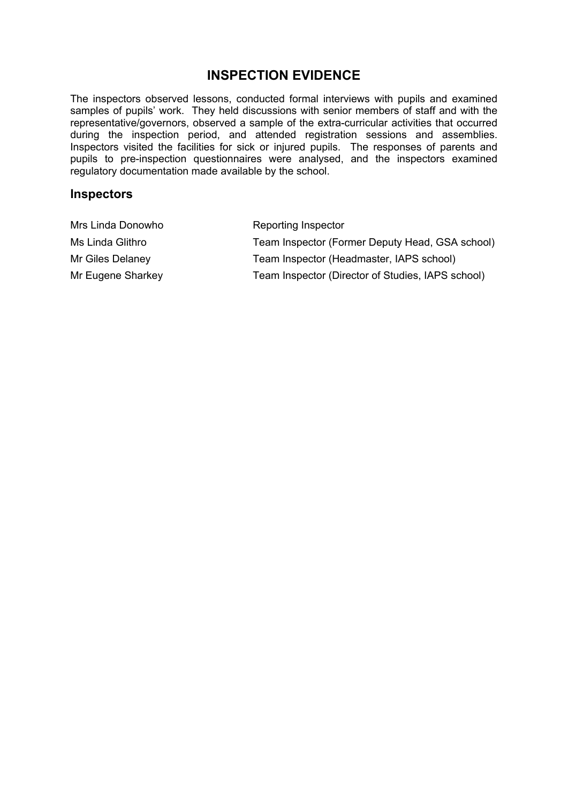## **INSPECTION EVIDENCE**

The inspectors observed lessons, conducted formal interviews with pupils and examined samples of pupils' work. They held discussions with senior members of staff and with the representative/governors, observed a sample of the extra-curricular activities that occurred during the inspection period, and attended registration sessions and assemblies. Inspectors visited the facilities for sick or injured pupils. The responses of parents and pupils to pre-inspection questionnaires were analysed, and the inspectors examined regulatory documentation made available by the school.

#### **Inspectors**

| Mrs Linda Donowho | Reporting Inspector                               |
|-------------------|---------------------------------------------------|
| Ms Linda Glithro  | Team Inspector (Former Deputy Head, GSA school)   |
| Mr Giles Delaney  | Team Inspector (Headmaster, IAPS school)          |
| Mr Eugene Sharkey | Team Inspector (Director of Studies, IAPS school) |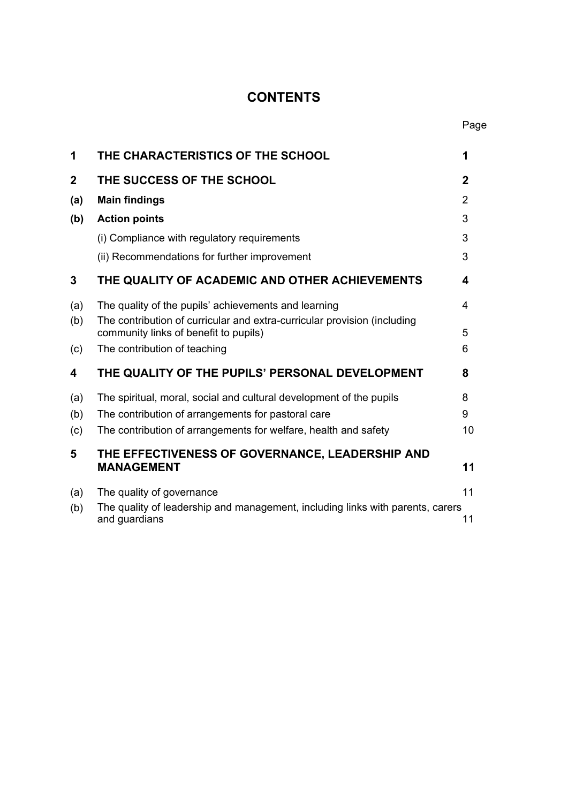## **CONTENTS**

| 1                       | THE CHARACTERISTICS OF THE SCHOOL                                                                                 | 1              |
|-------------------------|-------------------------------------------------------------------------------------------------------------------|----------------|
| $\overline{\mathbf{2}}$ | THE SUCCESS OF THE SCHOOL                                                                                         | $\mathbf 2$    |
| (a)                     | <b>Main findings</b>                                                                                              | $\overline{2}$ |
| (b)                     | <b>Action points</b>                                                                                              | 3              |
|                         | (i) Compliance with regulatory requirements                                                                       | 3              |
|                         | (ii) Recommendations for further improvement                                                                      | 3              |
| 3                       | THE QUALITY OF ACADEMIC AND OTHER ACHIEVEMENTS                                                                    | 4              |
| (a)                     | The quality of the pupils' achievements and learning                                                              | 4              |
| (b)                     | The contribution of curricular and extra-curricular provision (including<br>community links of benefit to pupils) | 5              |
| (c)                     | The contribution of teaching                                                                                      | 6              |
| 4                       | THE QUALITY OF THE PUPILS' PERSONAL DEVELOPMENT                                                                   | 8              |
| (a)                     | The spiritual, moral, social and cultural development of the pupils                                               | 8              |
| (b)                     | The contribution of arrangements for pastoral care                                                                | 9              |
| (c)                     | The contribution of arrangements for welfare, health and safety                                                   | 10             |
| 5                       | THE EFFECTIVENESS OF GOVERNANCE, LEADERSHIP AND<br><b>MANAGEMENT</b>                                              | 11             |
| (a)                     | The quality of governance                                                                                         | 11             |
| (b)                     | The quality of leadership and management, including links with parents, carers<br>and guardians                   | 11             |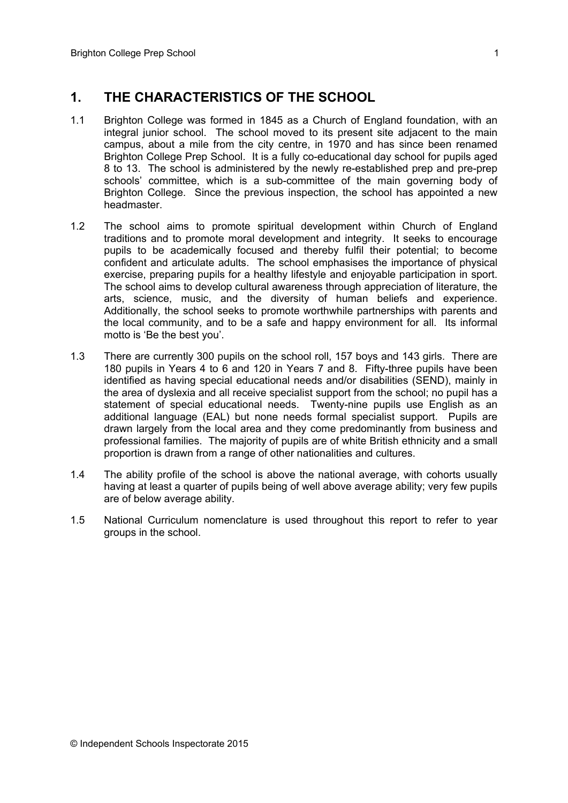#### **1. THE CHARACTERISTICS OF THE SCHOOL**

- 1.1 Brighton College was formed in 1845 as a Church of England foundation, with an integral junior school. The school moved to its present site adjacent to the main campus, about a mile from the city centre, in 1970 and has since been renamed Brighton College Prep School. It is a fully co-educational day school for pupils aged 8 to 13. The school is administered by the newly re-established prep and pre-prep schools' committee, which is a sub-committee of the main governing body of Brighton College. Since the previous inspection, the school has appointed a new headmaster.
- 1.2 The school aims to promote spiritual development within Church of England traditions and to promote moral development and integrity. It seeks to encourage pupils to be academically focused and thereby fulfil their potential; to become confident and articulate adults. The school emphasises the importance of physical exercise, preparing pupils for a healthy lifestyle and enjoyable participation in sport. The school aims to develop cultural awareness through appreciation of literature, the arts, science, music, and the diversity of human beliefs and experience. Additionally, the school seeks to promote worthwhile partnerships with parents and the local community, and to be a safe and happy environment for all. Its informal motto is 'Be the best you'.
- 1.3 There are currently 300 pupils on the school roll, 157 boys and 143 girls. There are 180 pupils in Years 4 to 6 and 120 in Years 7 and 8. Fifty-three pupils have been identified as having special educational needs and/or disabilities (SEND), mainly in the area of dyslexia and all receive specialist support from the school; no pupil has a statement of special educational needs. Twenty-nine pupils use English as an additional language (EAL) but none needs formal specialist support. Pupils are drawn largely from the local area and they come predominantly from business and professional families. The majority of pupils are of white British ethnicity and a small proportion is drawn from a range of other nationalities and cultures.
- 1.4 The ability profile of the school is above the national average, with cohorts usually having at least a quarter of pupils being of well above average ability; very few pupils are of below average ability.
- 1.5 National Curriculum nomenclature is used throughout this report to refer to year groups in the school.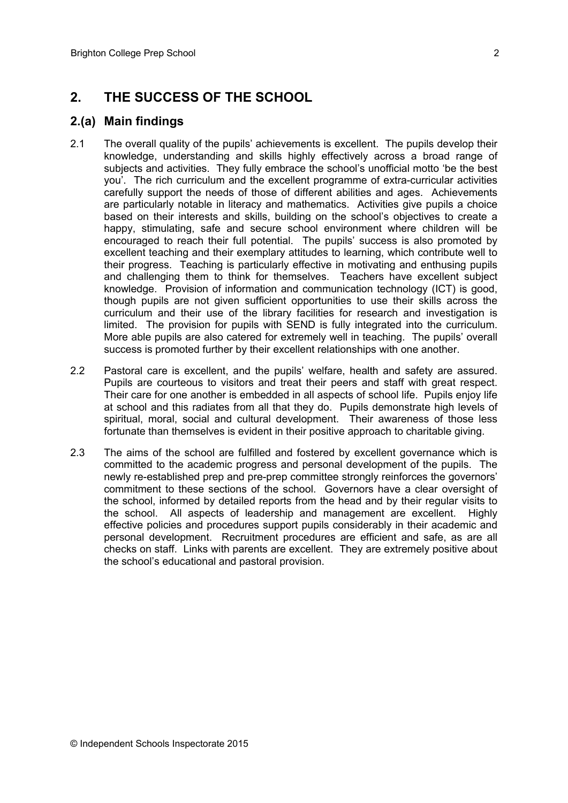## **2. THE SUCCESS OF THE SCHOOL**

#### **2.(a) Main findings**

- 2.1 The overall quality of the pupils' achievements is excellent. The pupils develop their knowledge, understanding and skills highly effectively across a broad range of subjects and activities. They fully embrace the school's unofficial motto 'be the best you'. The rich curriculum and the excellent programme of extra-curricular activities carefully support the needs of those of different abilities and ages. Achievements are particularly notable in literacy and mathematics. Activities give pupils a choice based on their interests and skills, building on the school's objectives to create a happy, stimulating, safe and secure school environment where children will be encouraged to reach their full potential. The pupils' success is also promoted by excellent teaching and their exemplary attitudes to learning, which contribute well to their progress. Teaching is particularly effective in motivating and enthusing pupils and challenging them to think for themselves. Teachers have excellent subject knowledge. Provision of information and communication technology (ICT) is good, though pupils are not given sufficient opportunities to use their skills across the curriculum and their use of the library facilities for research and investigation is limited. The provision for pupils with SEND is fully integrated into the curriculum. More able pupils are also catered for extremely well in teaching. The pupils' overall success is promoted further by their excellent relationships with one another.
- 2.2 Pastoral care is excellent, and the pupils' welfare, health and safety are assured. Pupils are courteous to visitors and treat their peers and staff with great respect. Their care for one another is embedded in all aspects of school life. Pupils enjoy life at school and this radiates from all that they do. Pupils demonstrate high levels of spiritual, moral, social and cultural development. Their awareness of those less fortunate than themselves is evident in their positive approach to charitable giving.
- 2.3 The aims of the school are fulfilled and fostered by excellent governance which is committed to the academic progress and personal development of the pupils. The newly re-established prep and pre-prep committee strongly reinforces the governors' commitment to these sections of the school. Governors have a clear oversight of the school, informed by detailed reports from the head and by their regular visits to the school. All aspects of leadership and management are excellent. Highly effective policies and procedures support pupils considerably in their academic and personal development. Recruitment procedures are efficient and safe, as are all checks on staff. Links with parents are excellent. They are extremely positive about the school's educational and pastoral provision.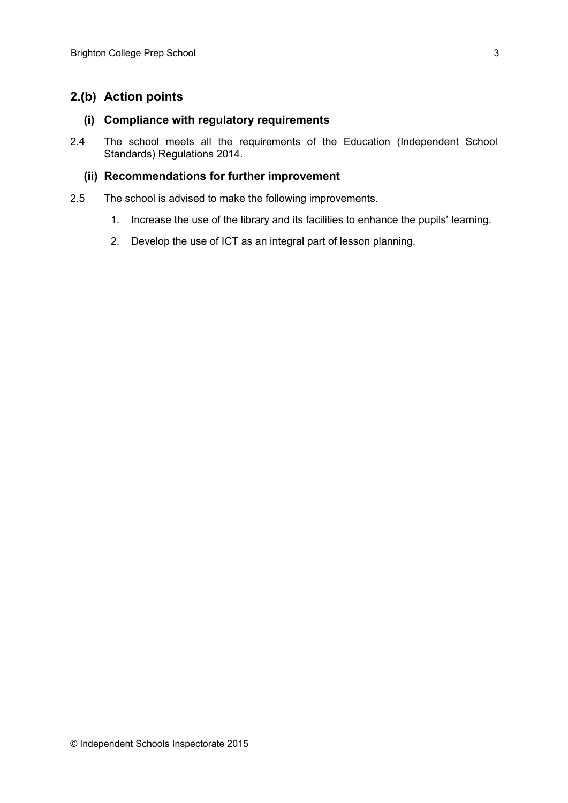#### **2.(b) Action points**

#### **(i) Compliance with regulatory requirements**

2.4 The school meets all the requirements of the Education (Independent School Standards) Regulations 2014.

#### **(ii) Recommendations for further improvement**

- 2.5 The school is advised to make the following improvements.
	- 1. Increase the use of the library and its facilities to enhance the pupils' learning.
	- 2. Develop the use of ICT as an integral part of lesson planning.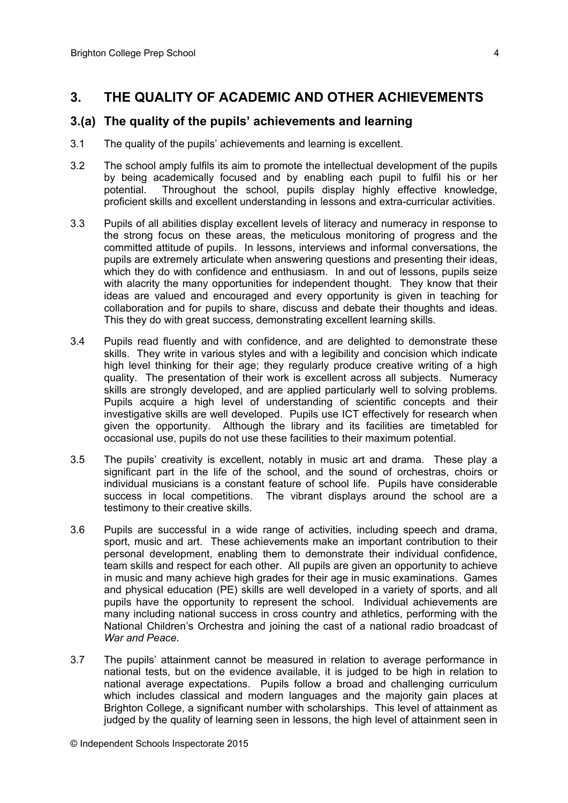### **3. THE QUALITY OF ACADEMIC AND OTHER ACHIEVEMENTS**

#### **3.(a) The quality of the pupils' achievements and learning**

- 3.1 The quality of the pupils' achievements and learning is excellent.
- 3.2 The school amply fulfils its aim to promote the intellectual development of the pupils by being academically focused and by enabling each pupil to fulfil his or her potential. Throughout the school, pupils display highly effective knowledge, proficient skills and excellent understanding in lessons and extra-curricular activities.
- 3.3 Pupils of all abilities display excellent levels of literacy and numeracy in response to the strong focus on these areas, the meticulous monitoring of progress and the committed attitude of pupils. In lessons, interviews and informal conversations, the pupils are extremely articulate when answering questions and presenting their ideas, which they do with confidence and enthusiasm. In and out of lessons, pupils seize with alacrity the many opportunities for independent thought. They know that their ideas are valued and encouraged and every opportunity is given in teaching for collaboration and for pupils to share, discuss and debate their thoughts and ideas. This they do with great success, demonstrating excellent learning skills.
- 3.4 Pupils read fluently and with confidence, and are delighted to demonstrate these skills. They write in various styles and with a legibility and concision which indicate high level thinking for their age; they regularly produce creative writing of a high quality. The presentation of their work is excellent across all subjects. Numeracy skills are strongly developed, and are applied particularly well to solving problems. Pupils acquire a high level of understanding of scientific concepts and their investigative skills are well developed. Pupils use ICT effectively for research when given the opportunity. Although the library and its facilities are timetabled for occasional use, pupils do not use these facilities to their maximum potential.
- 3.5 The pupils' creativity is excellent, notably in music art and drama. These play a significant part in the life of the school, and the sound of orchestras, choirs or individual musicians is a constant feature of school life. Pupils have considerable success in local competitions. The vibrant displays around the school are a testimony to their creative skills.
- 3.6 Pupils are successful in a wide range of activities, including speech and drama, sport, music and art. These achievements make an important contribution to their personal development, enabling them to demonstrate their individual confidence, team skills and respect for each other. All pupils are given an opportunity to achieve in music and many achieve high grades for their age in music examinations. Games and physical education (PE) skills are well developed in a variety of sports, and all pupils have the opportunity to represent the school. Individual achievements are many including national success in cross country and athletics, performing with the National Children's Orchestra and joining the cast of a national radio broadcast of *War and Peace*.
- 3.7 The pupils' attainment cannot be measured in relation to average performance in national tests, but on the evidence available, it is judged to be high in relation to national average expectations. Pupils follow a broad and challenging curriculum which includes classical and modern languages and the majority gain places at Brighton College, a significant number with scholarships. This level of attainment as judged by the quality of learning seen in lessons, the high level of attainment seen in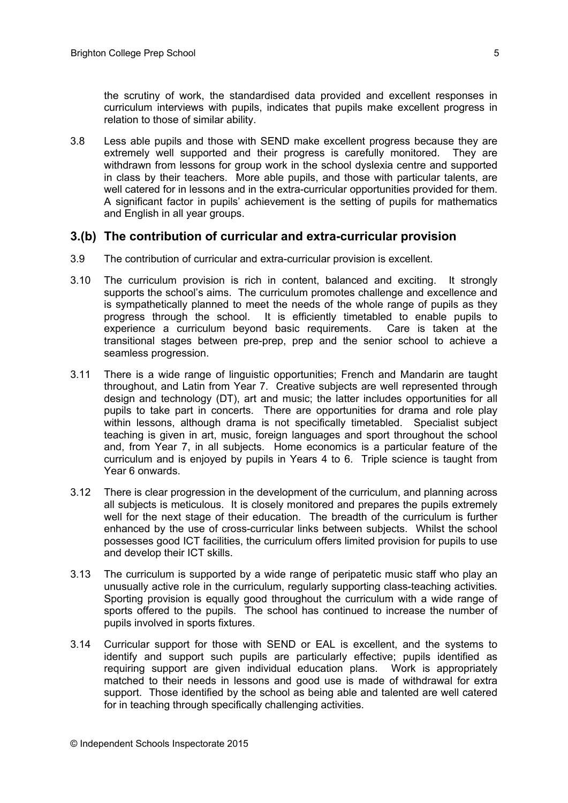3.8 Less able pupils and those with SEND make excellent progress because they are extremely well supported and their progress is carefully monitored. They are withdrawn from lessons for group work in the school dyslexia centre and supported in class by their teachers. More able pupils, and those with particular talents, are well catered for in lessons and in the extra-curricular opportunities provided for them. A significant factor in pupils' achievement is the setting of pupils for mathematics and English in all year groups.

#### **3.(b) The contribution of curricular and extra-curricular provision**

- 3.9 The contribution of curricular and extra-curricular provision is excellent.
- 3.10 The curriculum provision is rich in content, balanced and exciting. It strongly supports the school's aims. The curriculum promotes challenge and excellence and is sympathetically planned to meet the needs of the whole range of pupils as they progress through the school. It is efficiently timetabled to enable pupils to experience a curriculum beyond basic requirements. Care is taken at the transitional stages between pre-prep, prep and the senior school to achieve a seamless progression.
- 3.11 There is a wide range of linguistic opportunities; French and Mandarin are taught throughout, and Latin from Year 7. Creative subjects are well represented through design and technology (DT), art and music; the latter includes opportunities for all pupils to take part in concerts. There are opportunities for drama and role play within lessons, although drama is not specifically timetabled. Specialist subject teaching is given in art, music, foreign languages and sport throughout the school and, from Year 7, in all subjects. Home economics is a particular feature of the curriculum and is enjoyed by pupils in Years 4 to 6. Triple science is taught from Year 6 onwards.
- 3.12 There is clear progression in the development of the curriculum, and planning across all subjects is meticulous. It is closely monitored and prepares the pupils extremely well for the next stage of their education. The breadth of the curriculum is further enhanced by the use of cross-curricular links between subjects. Whilst the school possesses good ICT facilities, the curriculum offers limited provision for pupils to use and develop their ICT skills.
- 3.13 The curriculum is supported by a wide range of peripatetic music staff who play an unusually active role in the curriculum, regularly supporting class-teaching activities*.*  Sporting provision is equally good throughout the curriculum with a wide range of sports offered to the pupils. The school has continued to increase the number of pupils involved in sports fixtures.
- 3.14 Curricular support for those with SEND or EAL is excellent, and the systems to identify and support such pupils are particularly effective; pupils identified as requiring support are given individual education plans. Work is appropriately matched to their needs in lessons and good use is made of withdrawal for extra support. Those identified by the school as being able and talented are well catered for in teaching through specifically challenging activities.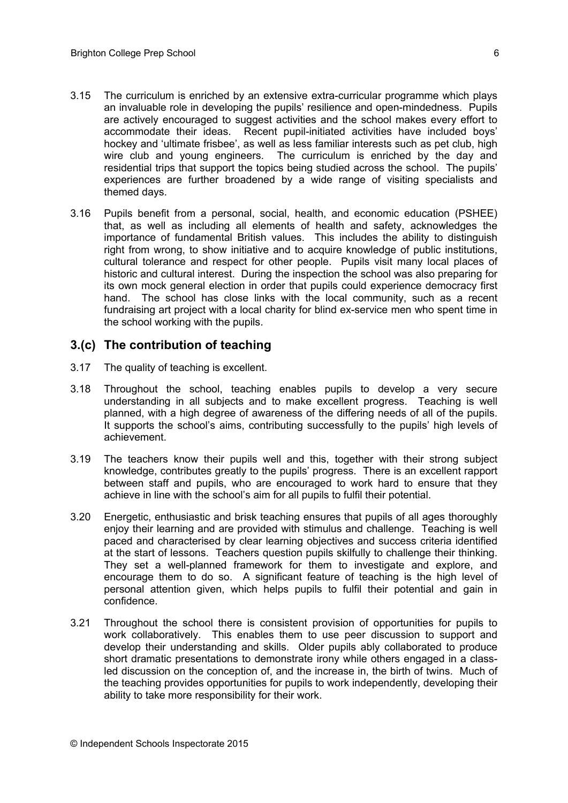- 3.15 The curriculum is enriched by an extensive extra-curricular programme which plays an invaluable role in developing the pupils' resilience and open-mindedness. Pupils are actively encouraged to suggest activities and the school makes every effort to accommodate their ideas. Recent pupil-initiated activities have included boys' hockey and 'ultimate frisbee', as well as less familiar interests such as pet club, high wire club and young engineers. The curriculum is enriched by the day and residential trips that support the topics being studied across the school. The pupils' experiences are further broadened by a wide range of visiting specialists and themed days.
- 3.16 Pupils benefit from a personal, social, health, and economic education (PSHEE) that, as well as including all elements of health and safety, acknowledges the importance of fundamental British values. This includes the ability to distinguish right from wrong, to show initiative and to acquire knowledge of public institutions, cultural tolerance and respect for other people. Pupils visit many local places of historic and cultural interest. During the inspection the school was also preparing for its own mock general election in order that pupils could experience democracy first hand. The school has close links with the local community, such as a recent fundraising art project with a local charity for blind ex-service men who spent time in the school working with the pupils.

#### **3.(c) The contribution of teaching**

- 3.17 The quality of teaching is excellent.
- 3.18 Throughout the school, teaching enables pupils to develop a very secure understanding in all subjects and to make excellent progress. Teaching is well planned, with a high degree of awareness of the differing needs of all of the pupils. It supports the school's aims, contributing successfully to the pupils' high levels of achievement.
- 3.19 The teachers know their pupils well and this, together with their strong subject knowledge, contributes greatly to the pupils' progress. There is an excellent rapport between staff and pupils, who are encouraged to work hard to ensure that they achieve in line with the school's aim for all pupils to fulfil their potential.
- 3.20 Energetic, enthusiastic and brisk teaching ensures that pupils of all ages thoroughly enjoy their learning and are provided with stimulus and challenge. Teaching is well paced and characterised by clear learning objectives and success criteria identified at the start of lessons. Teachers question pupils skilfully to challenge their thinking. They set a well-planned framework for them to investigate and explore, and encourage them to do so. A significant feature of teaching is the high level of personal attention given, which helps pupils to fulfil their potential and gain in confidence.
- 3.21 Throughout the school there is consistent provision of opportunities for pupils to work collaboratively. This enables them to use peer discussion to support and develop their understanding and skills. Older pupils ably collaborated to produce short dramatic presentations to demonstrate irony while others engaged in a classled discussion on the conception of, and the increase in, the birth of twins. Much of the teaching provides opportunities for pupils to work independently, developing their ability to take more responsibility for their work.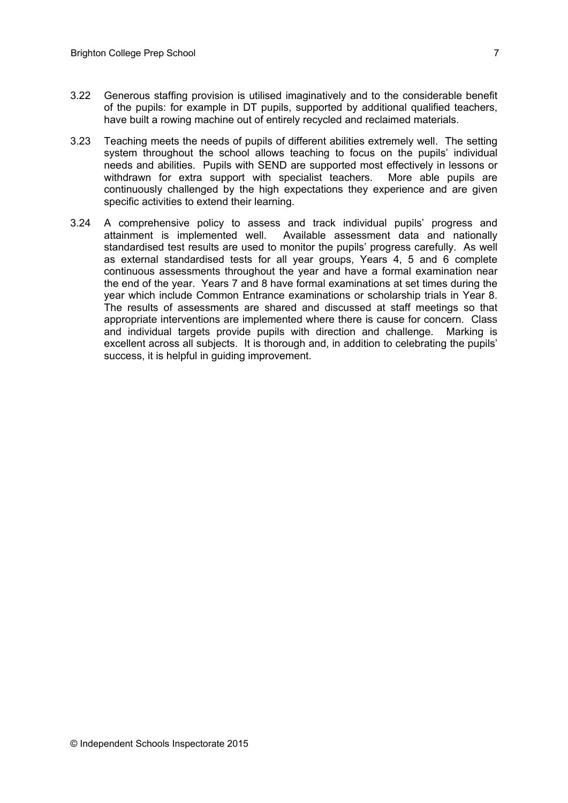- 3.22 Generous staffing provision is utilised imaginatively and to the considerable benefit of the pupils: for example in DT pupils, supported by additional qualified teachers, have built a rowing machine out of entirely recycled and reclaimed materials.
- 3.23 Teaching meets the needs of pupils of different abilities extremely well. The setting system throughout the school allows teaching to focus on the pupils' individual needs and abilities. Pupils with SEND are supported most effectively in lessons or withdrawn for extra support with specialist teachers. More able pupils are continuously challenged by the high expectations they experience and are given specific activities to extend their learning.
- 3.24 A comprehensive policy to assess and track individual pupils' progress and attainment is implemented well. Available assessment data and nationally standardised test results are used to monitor the pupils' progress carefully. As well as external standardised tests for all year groups, Years 4, 5 and 6 complete continuous assessments throughout the year and have a formal examination near the end of the year. Years 7 and 8 have formal examinations at set times during the year which include Common Entrance examinations or scholarship trials in Year 8. The results of assessments are shared and discussed at staff meetings so that appropriate interventions are implemented where there is cause for concern. Class and individual targets provide pupils with direction and challenge. Marking is excellent across all subjects. It is thorough and, in addition to celebrating the pupils' success, it is helpful in guiding improvement.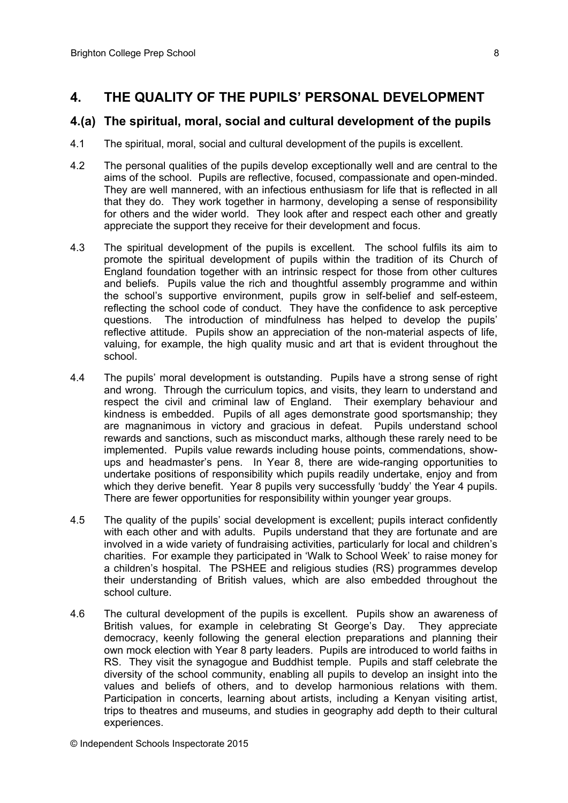#### **4. THE QUALITY OF THE PUPILS' PERSONAL DEVELOPMENT**

#### **4.(a) The spiritual, moral, social and cultural development of the pupils**

- 4.1 The spiritual, moral, social and cultural development of the pupils is excellent.
- 4.2 The personal qualities of the pupils develop exceptionally well and are central to the aims of the school. Pupils are reflective, focused, compassionate and open-minded. They are well mannered, with an infectious enthusiasm for life that is reflected in all that they do. They work together in harmony, developing a sense of responsibility for others and the wider world. They look after and respect each other and greatly appreciate the support they receive for their development and focus.
- 4.3 The spiritual development of the pupils is excellent. The school fulfils its aim to promote the spiritual development of pupils within the tradition of its Church of England foundation together with an intrinsic respect for those from other cultures and beliefs. Pupils value the rich and thoughtful assembly programme and within the school's supportive environment, pupils grow in self-belief and self-esteem, reflecting the school code of conduct. They have the confidence to ask perceptive questions. The introduction of mindfulness has helped to develop the pupils' reflective attitude. Pupils show an appreciation of the non-material aspects of life, valuing, for example, the high quality music and art that is evident throughout the school.
- 4.4 The pupils' moral development is outstanding. Pupils have a strong sense of right and wrong. Through the curriculum topics, and visits, they learn to understand and respect the civil and criminal law of England. Their exemplary behaviour and kindness is embedded. Pupils of all ages demonstrate good sportsmanship; they are magnanimous in victory and gracious in defeat. Pupils understand school rewards and sanctions, such as misconduct marks, although these rarely need to be implemented. Pupils value rewards including house points, commendations, showups and headmaster's pens. In Year 8, there are wide-ranging opportunities to undertake positions of responsibility which pupils readily undertake, enjoy and from which they derive benefit. Year 8 pupils very successfully 'buddy' the Year 4 pupils. There are fewer opportunities for responsibility within younger year groups.
- 4.5 The quality of the pupils' social development is excellent; pupils interact confidently with each other and with adults. Pupils understand that they are fortunate and are involved in a wide variety of fundraising activities, particularly for local and children's charities. For example they participated in 'Walk to School Week' to raise money for a children's hospital. The PSHEE and religious studies (RS) programmes develop their understanding of British values, which are also embedded throughout the school culture.
- 4.6 The cultural development of the pupils is excellent. Pupils show an awareness of British values, for example in celebrating St George's Day. They appreciate democracy, keenly following the general election preparations and planning their own mock election with Year 8 party leaders. Pupils are introduced to world faiths in RS. They visit the synagogue and Buddhist temple. Pupils and staff celebrate the diversity of the school community, enabling all pupils to develop an insight into the values and beliefs of others, and to develop harmonious relations with them. Participation in concerts, learning about artists, including a Kenyan visiting artist, trips to theatres and museums, and studies in geography add depth to their cultural experiences.

© Independent Schools Inspectorate 2015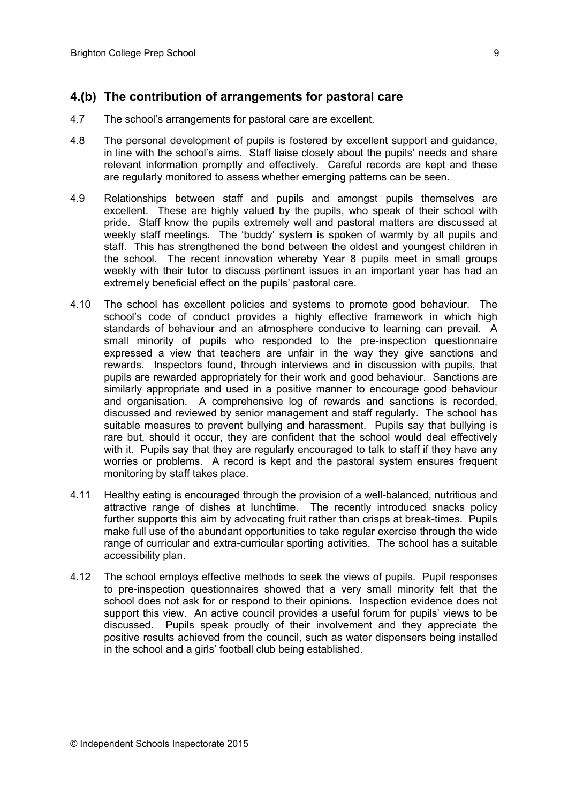#### **4.(b) The contribution of arrangements for pastoral care**

- 4.7 The school's arrangements for pastoral care are excellent.
- 4.8 The personal development of pupils is fostered by excellent support and guidance, in line with the school's aims. Staff liaise closely about the pupils' needs and share relevant information promptly and effectively. Careful records are kept and these are regularly monitored to assess whether emerging patterns can be seen.
- 4.9 Relationships between staff and pupils and amongst pupils themselves are excellent. These are highly valued by the pupils, who speak of their school with pride. Staff know the pupils extremely well and pastoral matters are discussed at weekly staff meetings. The 'buddy' system is spoken of warmly by all pupils and staff. This has strengthened the bond between the oldest and youngest children in the school. The recent innovation whereby Year 8 pupils meet in small groups weekly with their tutor to discuss pertinent issues in an important year has had an extremely beneficial effect on the pupils' pastoral care.
- 4.10 The school has excellent policies and systems to promote good behaviour. The school's code of conduct provides a highly effective framework in which high standards of behaviour and an atmosphere conducive to learning can prevail. A small minority of pupils who responded to the pre-inspection questionnaire expressed a view that teachers are unfair in the way they give sanctions and rewards. Inspectors found, through interviews and in discussion with pupils, that pupils are rewarded appropriately for their work and good behaviour. Sanctions are similarly appropriate and used in a positive manner to encourage good behaviour and organisation. A comprehensive log of rewards and sanctions is recorded, discussed and reviewed by senior management and staff regularly. The school has suitable measures to prevent bullying and harassment. Pupils say that bullying is rare but, should it occur, they are confident that the school would deal effectively with it. Pupils say that they are regularly encouraged to talk to staff if they have any worries or problems. A record is kept and the pastoral system ensures frequent monitoring by staff takes place.
- 4.11 Healthy eating is encouraged through the provision of a well-balanced, nutritious and attractive range of dishes at lunchtime. The recently introduced snacks policy further supports this aim by advocating fruit rather than crisps at break-times. Pupils make full use of the abundant opportunities to take regular exercise through the wide range of curricular and extra-curricular sporting activities. The school has a suitable accessibility plan.
- 4.12 The school employs effective methods to seek the views of pupils. Pupil responses to pre-inspection questionnaires showed that a very small minority felt that the school does not ask for or respond to their opinions. Inspection evidence does not support this view. An active council provides a useful forum for pupils' views to be discussed. Pupils speak proudly of their involvement and they appreciate the positive results achieved from the council, such as water dispensers being installed in the school and a girls' football club being established.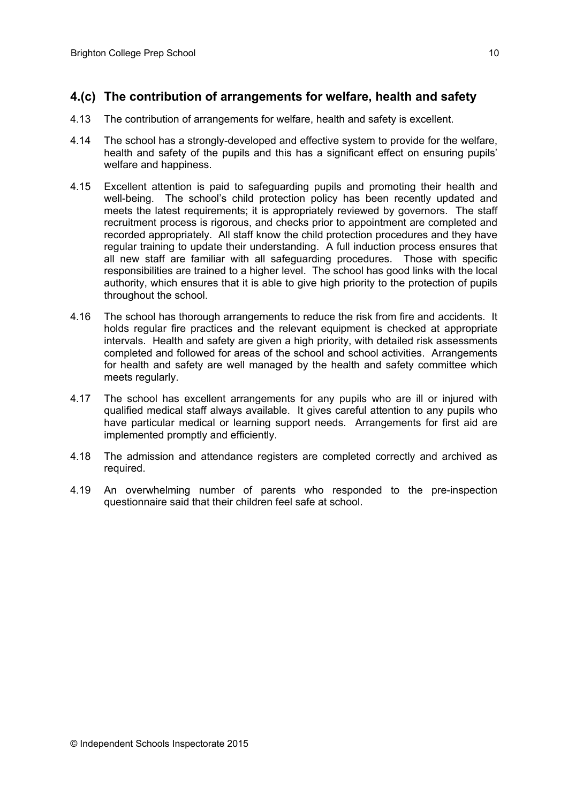## **4.(c) The contribution of arrangements for welfare, health and safety**

- 4.13 The contribution of arrangements for welfare, health and safety is excellent.
- 4.14 The school has a strongly-developed and effective system to provide for the welfare, health and safety of the pupils and this has a significant effect on ensuring pupils' welfare and happiness.
- 4.15 Excellent attention is paid to safeguarding pupils and promoting their health and well-being. The school's child protection policy has been recently updated and meets the latest requirements; it is appropriately reviewed by governors. The staff recruitment process is rigorous, and checks prior to appointment are completed and recorded appropriately. All staff know the child protection procedures and they have regular training to update their understanding. A full induction process ensures that all new staff are familiar with all safeguarding procedures. Those with specific responsibilities are trained to a higher level. The school has good links with the local authority, which ensures that it is able to give high priority to the protection of pupils throughout the school.
- 4.16 The school has thorough arrangements to reduce the risk from fire and accidents. It holds regular fire practices and the relevant equipment is checked at appropriate intervals. Health and safety are given a high priority, with detailed risk assessments completed and followed for areas of the school and school activities. Arrangements for health and safety are well managed by the health and safety committee which meets regularly.
- 4.17 The school has excellent arrangements for any pupils who are ill or injured with qualified medical staff always available. It gives careful attention to any pupils who have particular medical or learning support needs. Arrangements for first aid are implemented promptly and efficiently.
- 4.18 The admission and attendance registers are completed correctly and archived as required.
- 4.19 An overwhelming number of parents who responded to the pre-inspection questionnaire said that their children feel safe at school.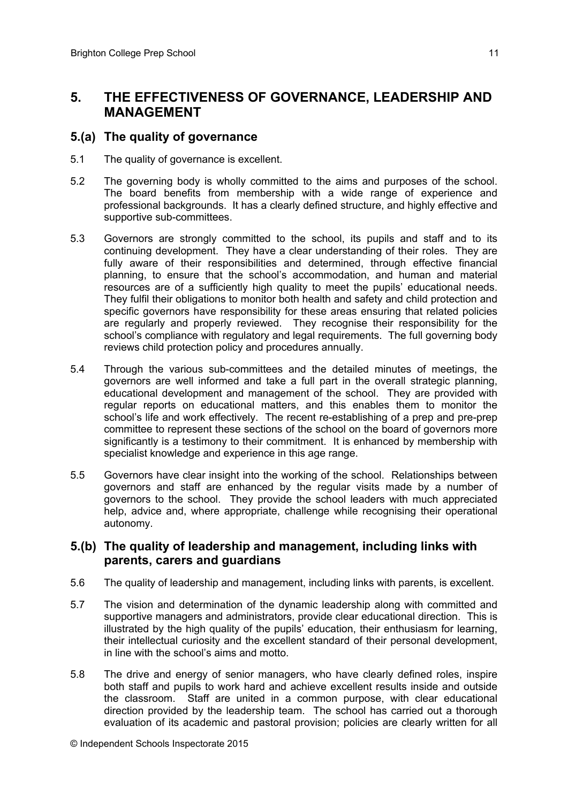## **5. THE EFFECTIVENESS OF GOVERNANCE, LEADERSHIP AND MANAGEMENT**

#### **5.(a) The quality of governance**

- 5.1 The quality of governance is excellent.
- 5.2 The governing body is wholly committed to the aims and purposes of the school. The board benefits from membership with a wide range of experience and professional backgrounds. It has a clearly defined structure, and highly effective and supportive sub-committees.
- 5.3 Governors are strongly committed to the school, its pupils and staff and to its continuing development. They have a clear understanding of their roles. They are fully aware of their responsibilities and determined, through effective financial planning, to ensure that the school's accommodation, and human and material resources are of a sufficiently high quality to meet the pupils' educational needs. They fulfil their obligations to monitor both health and safety and child protection and specific governors have responsibility for these areas ensuring that related policies are regularly and properly reviewed. They recognise their responsibility for the school's compliance with regulatory and legal requirements. The full governing body reviews child protection policy and procedures annually.
- 5.4 Through the various sub-committees and the detailed minutes of meetings, the governors are well informed and take a full part in the overall strategic planning, educational development and management of the school. They are provided with regular reports on educational matters, and this enables them to monitor the school's life and work effectively. The recent re-establishing of a prep and pre-prep committee to represent these sections of the school on the board of governors more significantly is a testimony to their commitment. It is enhanced by membership with specialist knowledge and experience in this age range.
- 5.5 Governors have clear insight into the working of the school. Relationships between governors and staff are enhanced by the regular visits made by a number of governors to the school. They provide the school leaders with much appreciated help, advice and, where appropriate, challenge while recognising their operational autonomy.

#### **5.(b) The quality of leadership and management, including links with parents, carers and guardians**

- 5.6 The quality of leadership and management, including links with parents, is excellent.
- 5.7 The vision and determination of the dynamic leadership along with committed and supportive managers and administrators, provide clear educational direction. This is illustrated by the high quality of the pupils' education, their enthusiasm for learning, their intellectual curiosity and the excellent standard of their personal development, in line with the school's aims and motto.
- 5.8 The drive and energy of senior managers, who have clearly defined roles, inspire both staff and pupils to work hard and achieve excellent results inside and outside the classroom. Staff are united in a common purpose, with clear educational direction provided by the leadership team. The school has carried out a thorough evaluation of its academic and pastoral provision; policies are clearly written for all